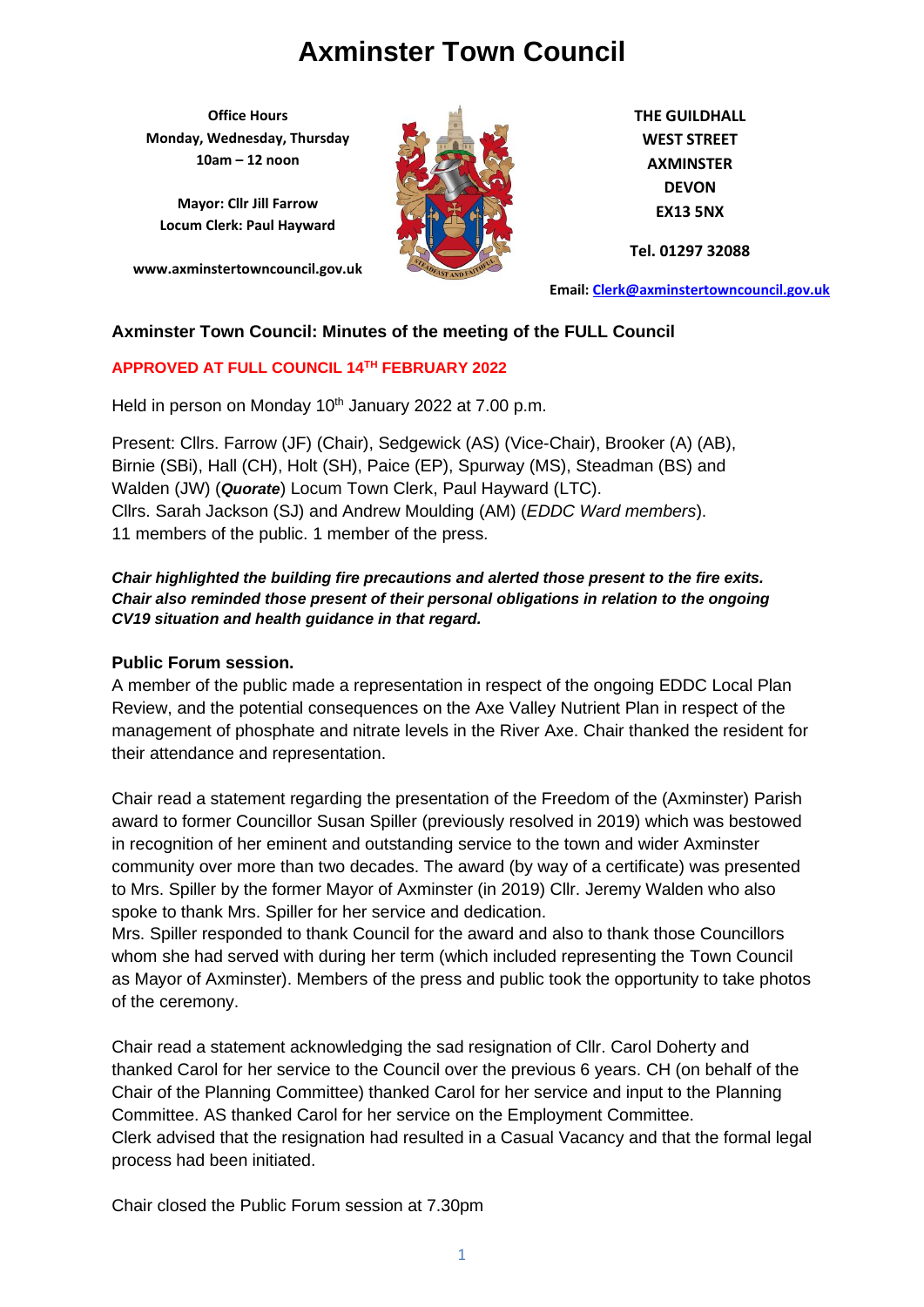**Office Hours Monday, Wednesday, Thursday 10am – 12 noon**

**Mayor: Cllr Jill Farrow Locum Clerk: Paul Hayward**

**www.axminstertowncouncil.gov.uk**



**THE GUILDHALL WEST STREET AXMINSTER DEVON EX13 5NX**

**Tel. 01297 32088**

**Email: [Clerk@axminstertowncouncil.gov.uk](file://///axm-svr-1/company/Templates/Clerk@axminstertowncouncil.gov.uk)**

#### **Axminster Town Council: Minutes of the meeting of the FULL Council**

#### **APPROVED AT FULL COUNCIL 14TH FEBRUARY 2022**

Held in person on Monday 10<sup>th</sup> January 2022 at 7.00 p.m.

Present: Cllrs. Farrow (JF) (Chair), Sedgewick (AS) (Vice-Chair), Brooker (A) (AB), Birnie (SBi), Hall (CH), Holt (SH), Paice (EP), Spurway (MS), Steadman (BS) and Walden (JW) (*Quorate*) Locum Town Clerk, Paul Hayward (LTC). Cllrs. Sarah Jackson (SJ) and Andrew Moulding (AM) (*EDDC Ward members*). 11 members of the public. 1 member of the press.

#### *Chair highlighted the building fire precautions and alerted those present to the fire exits. Chair also reminded those present of their personal obligations in relation to the ongoing CV19 situation and health guidance in that regard.*

#### **Public Forum session.**

A member of the public made a representation in respect of the ongoing EDDC Local Plan Review, and the potential consequences on the Axe Valley Nutrient Plan in respect of the management of phosphate and nitrate levels in the River Axe. Chair thanked the resident for their attendance and representation.

Chair read a statement regarding the presentation of the Freedom of the (Axminster) Parish award to former Councillor Susan Spiller (previously resolved in 2019) which was bestowed in recognition of her eminent and outstanding service to the town and wider Axminster community over more than two decades. The award (by way of a certificate) was presented to Mrs. Spiller by the former Mayor of Axminster (in 2019) Cllr. Jeremy Walden who also spoke to thank Mrs. Spiller for her service and dedication.

Mrs. Spiller responded to thank Council for the award and also to thank those Councillors whom she had served with during her term (which included representing the Town Council as Mayor of Axminster). Members of the press and public took the opportunity to take photos of the ceremony.

Chair read a statement acknowledging the sad resignation of Cllr. Carol Doherty and thanked Carol for her service to the Council over the previous 6 years. CH (on behalf of the Chair of the Planning Committee) thanked Carol for her service and input to the Planning Committee. AS thanked Carol for her service on the Employment Committee. Clerk advised that the resignation had resulted in a Casual Vacancy and that the formal legal process had been initiated.

Chair closed the Public Forum session at 7.30pm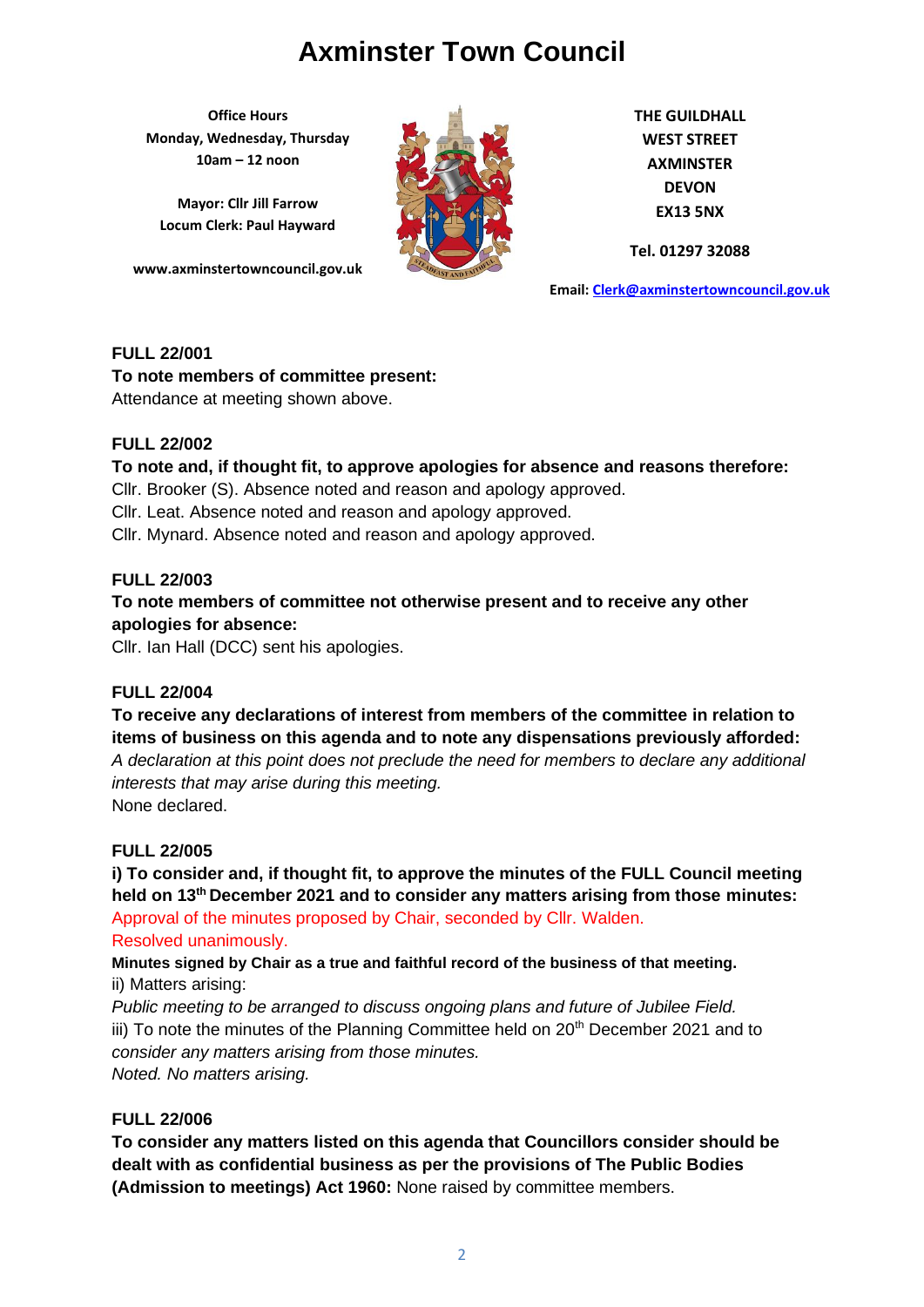**Office Hours Monday, Wednesday, Thursday 10am – 12 noon**

**Mayor: Cllr Jill Farrow Locum Clerk: Paul Hayward**

**www.axminstertowncouncil.gov.uk**



**THE GUILDHALL WEST STREET AXMINSTER DEVON EX13 5NX**

**Tel. 01297 32088**

**Email: [Clerk@axminstertowncouncil.gov.uk](file://///axm-svr-1/company/Templates/Clerk@axminstertowncouncil.gov.uk)**

### **FULL 22/001**

**To note members of committee present:**

Attendance at meeting shown above.

#### **FULL 22/002**

#### **To note and, if thought fit, to approve apologies for absence and reasons therefore:**

Cllr. Brooker (S). Absence noted and reason and apology approved.

Cllr. Leat. Absence noted and reason and apology approved.

Cllr. Mynard. Absence noted and reason and apology approved.

#### **FULL 22/003**

## **To note members of committee not otherwise present and to receive any other apologies for absence:**

Cllr. Ian Hall (DCC) sent his apologies.

#### **FULL 22/004**

## **To receive any declarations of interest from members of the committee in relation to items of business on this agenda and to note any dispensations previously afforded:**

*A declaration at this point does not preclude the need for members to declare any additional interests that may arise during this meeting.*

None declared.

#### **FULL 22/005**

**i) To consider and, if thought fit, to approve the minutes of the FULL Council meeting held on 13th December 2021 and to consider any matters arising from those minutes:** Approval of the minutes proposed by Chair, seconded by Cllr. Walden.

#### Resolved unanimously.

**Minutes signed by Chair as a true and faithful record of the business of that meeting.** ii) Matters arising:

*Public meeting to be arranged to discuss ongoing plans and future of Jubilee Field.* iii) To note the minutes of the Planning Committee held on 20<sup>th</sup> December 2021 and to *consider any matters arising from those minutes. Noted. No matters arising.*

#### **FULL 22/006**

**To consider any matters listed on this agenda that Councillors consider should be dealt with as confidential business as per the provisions of The Public Bodies (Admission to meetings) Act 1960:** None raised by committee members.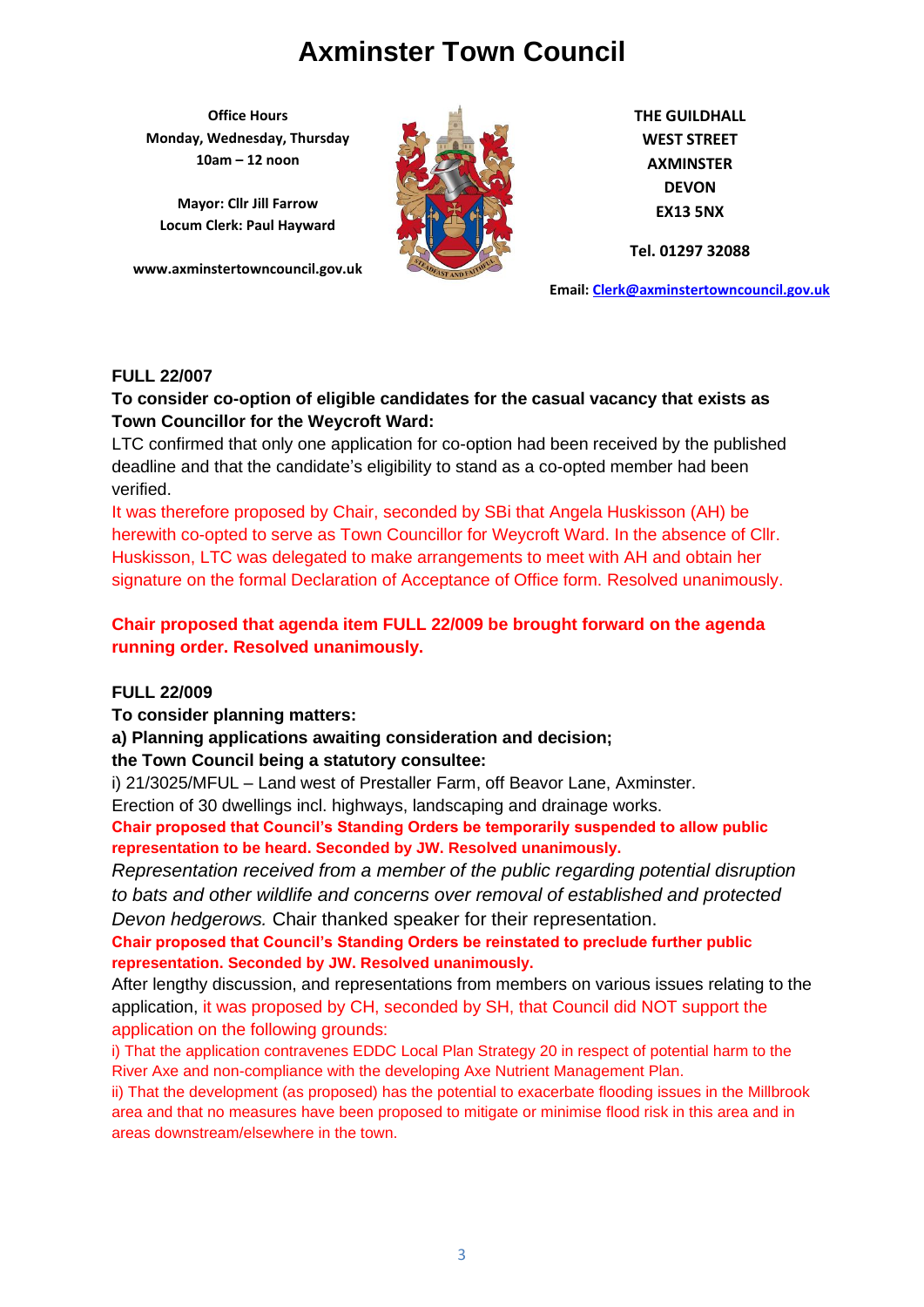**Office Hours Monday, Wednesday, Thursday 10am – 12 noon**

**Mayor: Cllr Jill Farrow Locum Clerk: Paul Hayward**

**www.axminstertowncouncil.gov.uk**



**THE GUILDHALL WEST STREET AXMINSTER DEVON EX13 5NX**

**Tel. 01297 32088**

**Email: [Clerk@axminstertowncouncil.gov.uk](file://///axm-svr-1/company/Templates/Clerk@axminstertowncouncil.gov.uk)**

#### **FULL 22/007**

### **To consider co-option of eligible candidates for the casual vacancy that exists as Town Councillor for the Weycroft Ward:**

**TEL: 01297 32088** LTC confirmed that only one application for co-option had been received by the published deadline and that the candidate's eligibility to stand as a co-opted member had been verified.

It was therefore proposed by Chair, seconded by SBi that Angela Huskisson (AH) be herewith co-opted to serve as Town Councillor for Weycroft Ward. In the absence of Cllr. Huskisson, LTC was delegated to make arrangements to meet with AH and obtain her signature on the formal Declaration of Acceptance of Office form. Resolved unanimously.

## **Chair proposed that agenda item FULL 22/009 be brought forward on the agenda running order. Resolved unanimously.**

#### **FULL 22/009**

**To consider planning matters:**

**a) Planning applications awaiting consideration and decision; the Town Council being a statutory consultee:**

i) 21/3025/MFUL – Land west of Prestaller Farm, off Beavor Lane, Axminster.

Erection of 30 dwellings incl. highways, landscaping and drainage works.

**Chair proposed that Council's Standing Orders be temporarily suspended to allow public representation to be heard. Seconded by JW. Resolved unanimously.** 

*Representation received from a member of the public regarding potential disruption to bats and other wildlife and concerns over removal of established and protected Devon hedgerows.* Chair thanked speaker for their representation.

**Chair proposed that Council's Standing Orders be reinstated to preclude further public representation. Seconded by JW. Resolved unanimously.** 

After lengthy discussion, and representations from members on various issues relating to the application, it was proposed by CH, seconded by SH, that Council did NOT support the application on the following grounds:

i) That the application contravenes EDDC Local Plan Strategy 20 in respect of potential harm to the River Axe and non-compliance with the developing Axe Nutrient Management Plan.

ii) That the development (as proposed) has the potential to exacerbate flooding issues in the Millbrook area and that no measures have been proposed to mitigate or minimise flood risk in this area and in areas downstream/elsewhere in the town.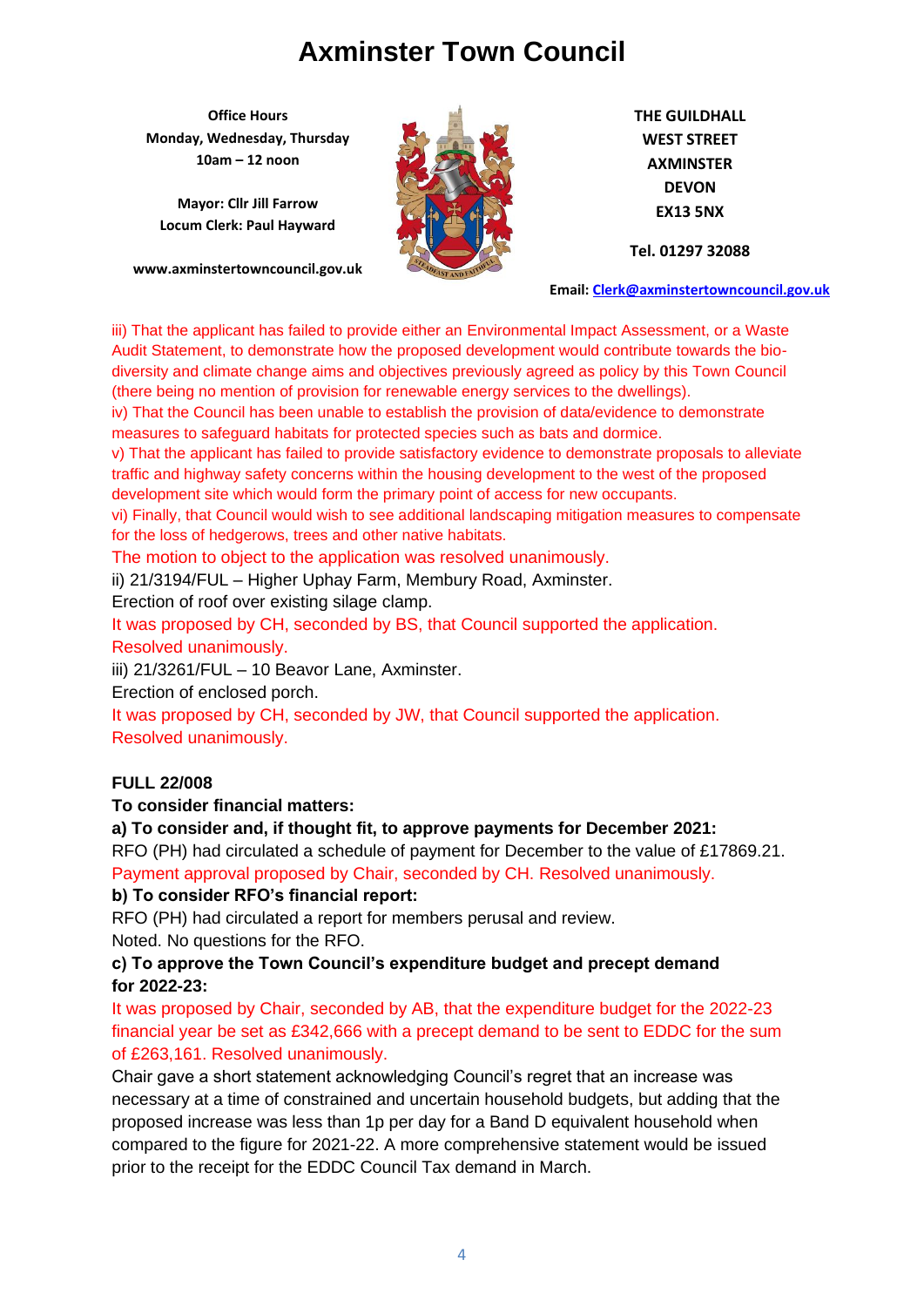**Office Hours Monday, Wednesday, Thursday 10am – 12 noon**

**Mayor: Cllr Jill Farrow Locum Clerk: Paul Hayward**

**www.axminstertowncouncil.gov.uk**



**THE GUILDHALL WEST STREET AXMINSTER DEVON EX13 5NX**

**Tel. 01297 32088**

**Email: [Clerk@axminstertowncouncil.gov.uk](file://///axm-svr-1/company/Templates/Clerk@axminstertowncouncil.gov.uk)**

iii) That the applicant has failed to provide either an Environmental Impact Assessment, or a Waste Audit Statement, to demonstrate how the proposed development would contribute towards the biodiversity and climate change aims and objectives previously agreed as policy by this Town Council (there being no mention of provision for renewable energy services to the dwellings).

measures to safeguard habitats for protected species such as bats and dormice. iv) That the Council has been unable to establish the provision of data/evidence to demonstrate

v) That the applicant has failed to provide satisfactory evidence to demonstrate proposals to alleviate traffic and highway safety concerns within the housing development to the west of the proposed development site which would form the primary point of access for new occupants.

vi) Finally, that Council would wish to see additional landscaping mitigation measures to compensate for the loss of hedgerows, trees and other native habitats.

The motion to object to the application was resolved unanimously.

ii) 21/3194/FUL – Higher Uphay Farm, Membury Road, Axminster.

Erection of roof over existing silage clamp.

It was proposed by CH, seconded by BS, that Council supported the application. Resolved unanimously.

iii) 21/3261/FUL – 10 Beavor Lane, Axminster.

Erection of enclosed porch.

It was proposed by CH, seconded by JW, that Council supported the application. Resolved unanimously.

#### **FULL 22/008**

#### **To consider financial matters:**

#### **a) To consider and, if thought fit, to approve payments for December 2021:**

RFO (PH) had circulated a schedule of payment for December to the value of £17869.21. Payment approval proposed by Chair, seconded by CH. Resolved unanimously.

#### **b) To consider RFO's financial report:**

RFO (PH) had circulated a report for members perusal and review. Noted. No questions for the RFO.

#### **c) To approve the Town Council's expenditure budget and precept demand for 2022-23:**

It was proposed by Chair, seconded by AB, that the expenditure budget for the 2022-23 financial year be set as £342,666 with a precept demand to be sent to EDDC for the sum of £263,161. Resolved unanimously.

Chair gave a short statement acknowledging Council's regret that an increase was necessary at a time of constrained and uncertain household budgets, but adding that the proposed increase was less than 1p per day for a Band D equivalent household when compared to the figure for 2021-22. A more comprehensive statement would be issued prior to the receipt for the EDDC Council Tax demand in March.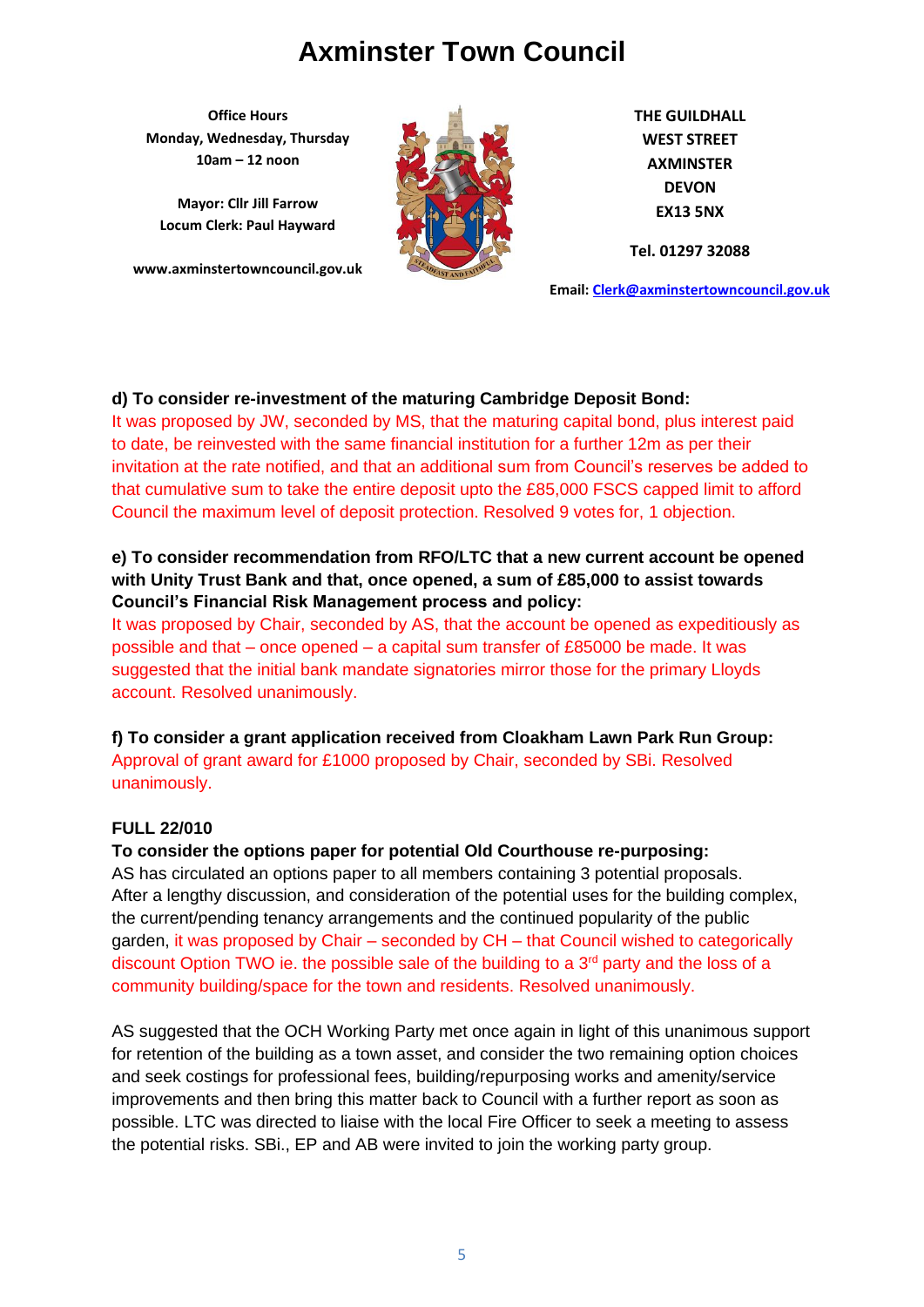**Office Hours Monday, Wednesday, Thursday 10am – 12 noon**

**Mayor: Cllr Jill Farrow Locum Clerk: Paul Hayward**

**www.axminstertowncouncil.gov.uk**



**THE GUILDHALL WEST STREET AXMINSTER DEVON EX13 5NX**

**Tel. 01297 32088**

**Email: [Clerk@axminstertowncouncil.gov.uk](file://///axm-svr-1/company/Templates/Clerk@axminstertowncouncil.gov.uk)**

## **d) To consider re-investment of the maturing Cambridge Deposit Bond:**

It was proposed by JW, seconded by MS, that the maturing capital bond, plus interest paid to date, be reinvested with the same financial institution for a further 12m as per their invitation at the rate notified, and that an additional sum from Council's reserves be added to that cumulative sum to take the entire deposit upto the £85,000 FSCS capped limit to afford Council the maximum level of deposit protection. Resolved 9 votes for, 1 objection.

## **e) To consider recommendation from RFO/LTC that a new current account be opened with Unity Trust Bank and that, once opened, a sum of £85,000 to assist towards Council's Financial Risk Management process and policy:**

It was proposed by Chair, seconded by AS, that the account be opened as expeditiously as possible and that – once opened – a capital sum transfer of £85000 be made. It was suggested that the initial bank mandate signatories mirror those for the primary Lloyds account. Resolved unanimously.

**f) To consider a grant application received from Cloakham Lawn Park Run Group:** Approval of grant award for £1000 proposed by Chair, seconded by SBi. Resolved unanimously.

#### **FULL 22/010**

#### **To consider the options paper for potential Old Courthouse re-purposing:**

AS has circulated an options paper to all members containing 3 potential proposals. After a lengthy discussion, and consideration of the potential uses for the building complex, the current/pending tenancy arrangements and the continued popularity of the public garden, it was proposed by Chair – seconded by CH – that Council wished to categorically discount Option TWO ie. the possible sale of the building to a  $3<sup>rd</sup>$  party and the loss of a community building/space for the town and residents. Resolved unanimously.

AS suggested that the OCH Working Party met once again in light of this unanimous support for retention of the building as a town asset, and consider the two remaining option choices and seek costings for professional fees, building/repurposing works and amenity/service improvements and then bring this matter back to Council with a further report as soon as possible. LTC was directed to liaise with the local Fire Officer to seek a meeting to assess the potential risks. SBi., EP and AB were invited to join the working party group.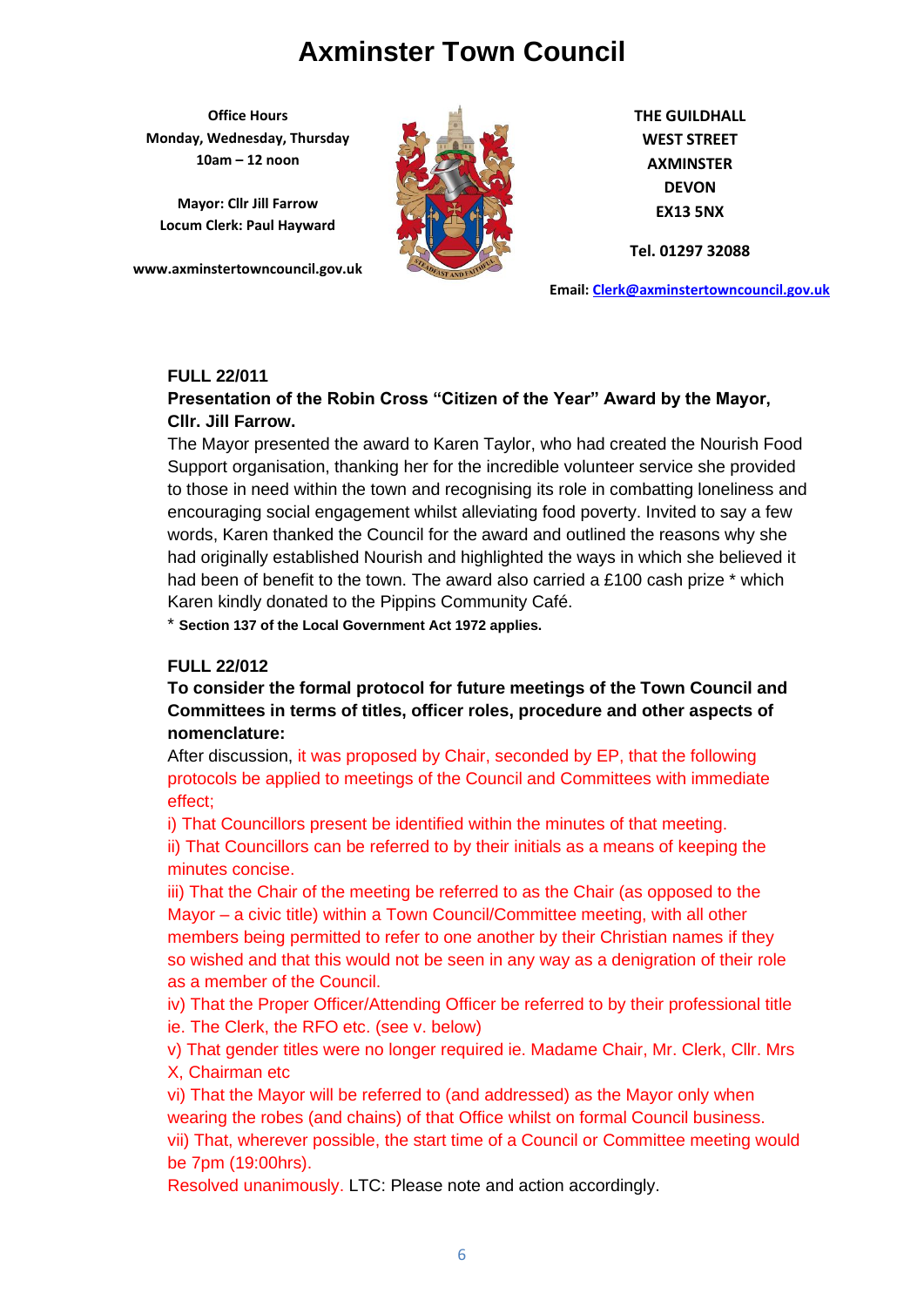**Office Hours Monday, Wednesday, Thursday 10am – 12 noon**

**Mayor: Cllr Jill Farrow Locum Clerk: Paul Hayward**

**www.axminstertowncouncil.gov.uk**



**THE GUILDHALL WEST STREET AXMINSTER DEVON EX13 5NX**

**Tel. 01297 32088**

**Email: [Clerk@axminstertowncouncil.gov.uk](file://///axm-svr-1/company/Templates/Clerk@axminstertowncouncil.gov.uk)**

#### **FULL 22/011**

### **Presentation of the Robin Cross "Citizen of the Year" Award by the Mayor, Cllr. Jill Farrow.**

**TEL: 01297 32088** The Mayor presented the award to Karen Taylor, who had created the Nourish Food Support organisation, thanking her for the incredible volunteer service she provided to those in need within the town and recognising its role in combatting loneliness and encouraging social engagement whilst alleviating food poverty. Invited to say a few words, Karen thanked the Council for the award and outlined the reasons why she had originally established Nourish and highlighted the ways in which she believed it had been of benefit to the town. The award also carried a £100 cash prize  $*$  which Karen kindly donated to the Pippins Community Café.

\* **Section 137 of the Local Government Act 1972 applies.**

#### **FULL 22/012**

**To consider the formal protocol for future meetings of the Town Council and Committees in terms of titles, officer roles, procedure and other aspects of nomenclature:**

After discussion, it was proposed by Chair, seconded by EP, that the following protocols be applied to meetings of the Council and Committees with immediate effect;

i) That Councillors present be identified within the minutes of that meeting.

ii) That Councillors can be referred to by their initials as a means of keeping the minutes concise.

iii) That the Chair of the meeting be referred to as the Chair (as opposed to the Mayor – a civic title) within a Town Council/Committee meeting, with all other members being permitted to refer to one another by their Christian names if they so wished and that this would not be seen in any way as a denigration of their role as a member of the Council.

iv) That the Proper Officer/Attending Officer be referred to by their professional title ie. The Clerk, the RFO etc. (see v. below)

v) That gender titles were no longer required ie. Madame Chair, Mr. Clerk, Cllr. Mrs X, Chairman etc

vi) That the Mayor will be referred to (and addressed) as the Mayor only when wearing the robes (and chains) of that Office whilst on formal Council business. vii) That, wherever possible, the start time of a Council or Committee meeting would be 7pm (19:00hrs).

Resolved unanimously. LTC: Please note and action accordingly.